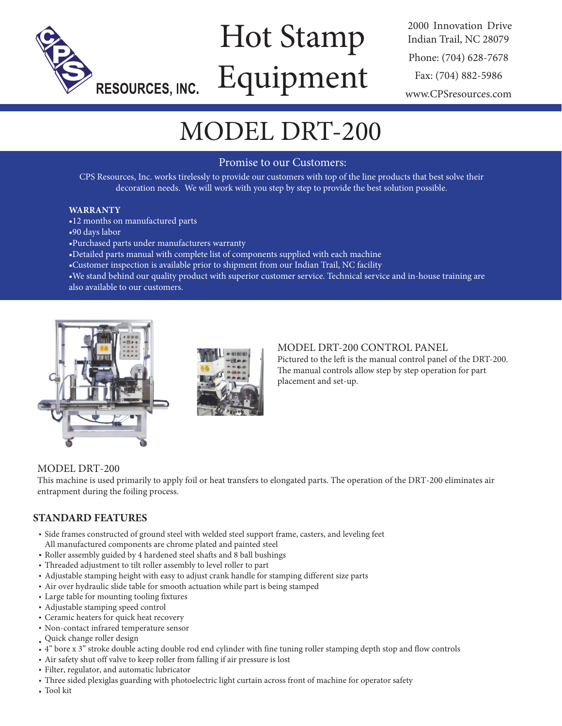

# Hot Stamp Equipment

2000 Innovation Drive Indian Trail, NC 28079 Phone: (704) 628-7678 Fax: (704) 882-5986 www.CPSresources.com

## MODEL DRT-200

#### Promise to our Customers:

CPS Resources, Inc. works tirelessly to provide our customers with top of the line products that best solve their decoration needs. We will work with you step by step to provide the best solution possible.

#### **WARRANTY**

- •12 months on manufactured parts
- •90 days labor
- •Purchased parts under manufacturers warranty
- •Detailed parts manual with complete list of components supplied with each machine
- •Customer inspection is available prior to shipment from our Indian Trail, NC facility
- •We stand behind our quality product with superior customer service. Technical service and in-house training are also available to our customers.





#### MODEL DRT-200 CONTROL PANEL

Pictured to the left is the manual control panel of the DRT-200. The manual controls allow step by step operation for part placement and set-up.

#### MODEL DRT-200

This machine is used primarily to apply foil or heat transfers to elongated parts. The operation of the DRT-200 eliminates air entrapment during the foiling process.

#### **STANDARD FEATURES**

- Side frames constructed of ground steel with welded steel support frame, casters, and leveling feet All manufactured components are chrome plated and painted steel
- Roller assembly guided by 4 hardened steel shafts and 8 ball bushings
- Threaded adjustment to tilt roller assembly to level roller to part
- Adjustable stamping height with easy to adjust crank handle for stamping different size parts
- Air over hydraulic slide table for smooth actuation while part is being stamped
- Large table for mounting tooling fixtures
- Adjustable stamping speed control
- Ceramic heaters for quick heat recovery
- Non-contact infrared temperature sensor
- Quick change roller design
- 4" bore x 3" stroke double acting double rod end cylinder with fine tuning roller stamping depth stop and flow controls
- Air safety shut off valve to keep roller from falling if air pressure is lost
- Filter, regulator, and automatic lubricator
- Three sided plexiglas guarding with photoelectric light curtain across front of machine for operator safety
- Tool kit